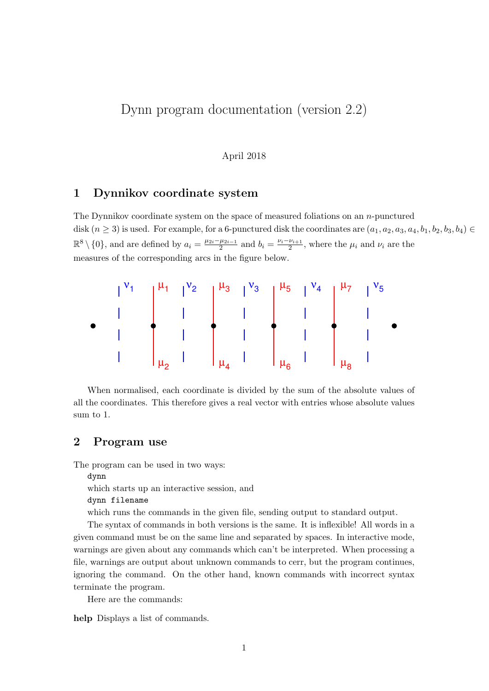## Dynn program documentation (version 2.2)

## April 2018

## 1 Dynnikov coordinate system

The Dynnikov coordinate system on the space of measured foliations on an n-punctured disk  $(n \ge 3)$  is used. For example, for a 6-punctured disk the coordinates are  $(a_1, a_2, a_3, a_4, b_1, b_2, b_3, b_4) \in$  $\mathbb{R}^8 \setminus \{0\}$ , and are defined by  $a_i = \frac{\mu_{2i} - \mu_{2i-1}}{2}$  $\frac{\mu_{2i-1}}{2}$  and  $b_i = \frac{\nu_i - \nu_{i+1}}{2}$  $\frac{\nu_{i+1}}{2}$ , where the  $\mu_i$  and  $\nu_i$  are the measures of the corresponding arcs in the figure below.



When normalised, each coordinate is divided by the sum of the absolute values of all the coordinates. This therefore gives a real vector with entries whose absolute values sum to 1.

## 2 Program use

The program can be used in two ways:

dynn

which starts up an interactive session, and

dynn filename

which runs the commands in the given file, sending output to standard output.

The syntax of commands in both versions is the same. It is inflexible! All words in a given command must be on the same line and separated by spaces. In interactive mode, warnings are given about any commands which can't be interpreted. When processing a file, warnings are output about unknown commands to cerr, but the program continues, ignoring the command. On the other hand, known commands with incorrect syntax terminate the program.

Here are the commands:

help Displays a list of commands.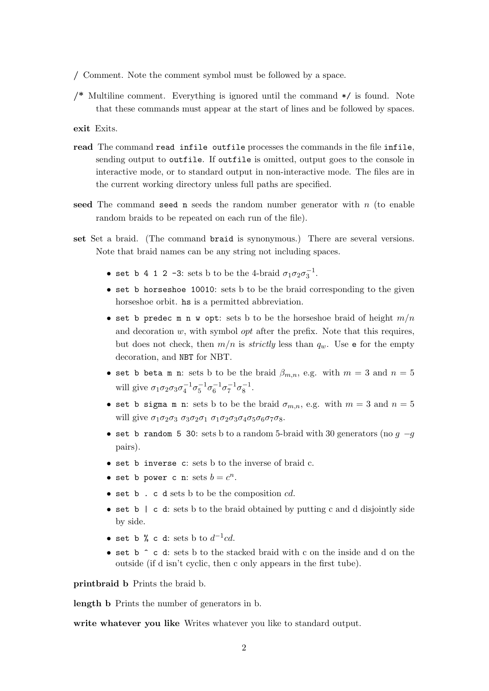/ Comment. Note the comment symbol must be followed by a space.

/\* Multiline comment. Everything is ignored until the command \*/ is found. Note that these commands must appear at the start of lines and be followed by spaces.

exit Exits.

- read The command read infile outfile processes the commands in the file infile, sending output to outfile. If outfile is omitted, output goes to the console in interactive mode, or to standard output in non-interactive mode. The files are in the current working directory unless full paths are specified.
- seed The command seed n seeds the random number generator with  $n$  (to enable random braids to be repeated on each run of the file).
- set Set a braid. (The command braid is synonymous.) There are several versions. Note that braid names can be any string not including spaces.
	- set b 4 1 2 -3: sets b to be the 4-braid  $\sigma_1 \sigma_2 \sigma_3^{-1}$ .
	- set b horseshoe 10010: sets b to be the braid corresponding to the given horseshoe orbit. hs is a permitted abbreviation.
	- set b predec m n w opt: sets b to be the horseshoe braid of height  $m/n$ and decoration  $w$ , with symbol *opt* after the prefix. Note that this requires, but does not check, then  $m/n$  is *strictly* less than  $q_w$ . Use **e** for the empty decoration, and NBT for NBT.
	- set b beta m n: sets b to be the braid  $\beta_{m,n}$ , e.g. with  $m=3$  and  $n=5$ will give  $\sigma_1 \sigma_2 \sigma_3 \sigma_4^{-1} \sigma_5^{-1} \sigma_6^{-1} \sigma_7^{-1} \sigma_8^{-1}$ .
	- set b sigma m n: sets b to be the braid  $\sigma_{m,n}$ , e.g. with  $m=3$  and  $n=5$ will give  $\sigma_1\sigma_2\sigma_3\sigma_3\sigma_2\sigma_1\sigma_1\sigma_2\sigma_3\sigma_4\sigma_5\sigma_6\sigma_7\sigma_8$ .
	- set b random 5 30: sets b to a random 5-braid with 30 generators (no  $q -q$ pairs).
	- set b inverse c: sets b to the inverse of braid c.
	- set b power c n: sets  $b = c^n$ .
	- set  $b$ . c d sets  $b$  to be the composition  $cd$ .
	- set b | c d: sets b to the braid obtained by putting c and d disjointly side by side.
	- set b % c d: sets b to  $d^{-1}cd$ .
	- set b ^ c d: sets b to the stacked braid with c on the inside and d on the outside (if d isn't cyclic, then c only appears in the first tube).

printbraid b Prints the braid b.

length b Prints the number of generators in b.

write whatever you like Writes whatever you like to standard output.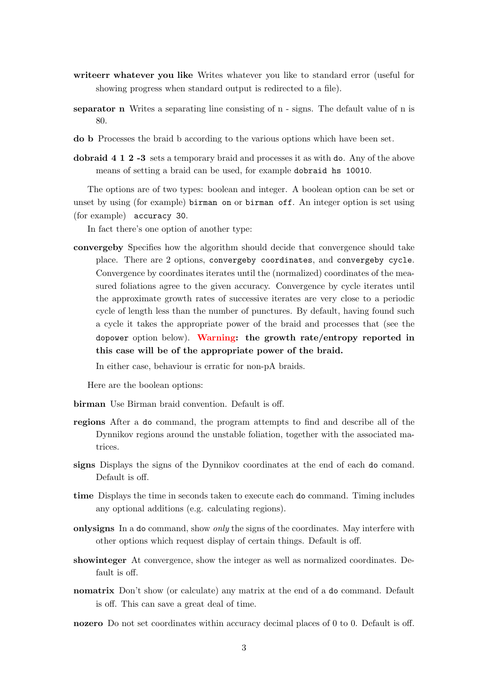- writeerr whatever you like Writes whatever you like to standard error (useful for showing progress when standard output is redirected to a file).
- separator n Writes a separating line consisting of n signs. The default value of n is 80.
- do b Processes the braid b according to the various options which have been set.
- dobraid 4 1 2 -3 sets a temporary braid and processes it as with do. Any of the above means of setting a braid can be used, for example dobraid hs 10010.

The options are of two types: boolean and integer. A boolean option can be set or unset by using (for example) birman on or birman off. An integer option is set using (for example) accuracy 30.

In fact there's one option of another type:

convergeby Specifies how the algorithm should decide that convergence should take place. There are 2 options, convergeby coordinates, and convergeby cycle. Convergence by coordinates iterates until the (normalized) coordinates of the measured foliations agree to the given accuracy. Convergence by cycle iterates until the approximate growth rates of successive iterates are very close to a periodic cycle of length less than the number of punctures. By default, having found such a cycle it takes the appropriate power of the braid and processes that (see the dopower option below). Warning: the growth rate/entropy reported in this case will be of the appropriate power of the braid.

In either case, behaviour is erratic for non-pA braids.

Here are the boolean options:

- birman Use Birman braid convention. Default is off.
- regions After a do command, the program attempts to find and describe all of the Dynnikov regions around the unstable foliation, together with the associated matrices.
- signs Displays the signs of the Dynnikov coordinates at the end of each do comand. Default is off.
- time Displays the time in seconds taken to execute each do command. Timing includes any optional additions (e.g. calculating regions).
- onlysigns In a do command, show *only* the signs of the coordinates. May interfere with other options which request display of certain things. Default is off.
- showinteger At convergence, show the integer as well as normalized coordinates. Default is off.
- nomatrix Don't show (or calculate) any matrix at the end of a do command. Default is off. This can save a great deal of time.
- nozero Do not set coordinates within accuracy decimal places of 0 to 0. Default is off.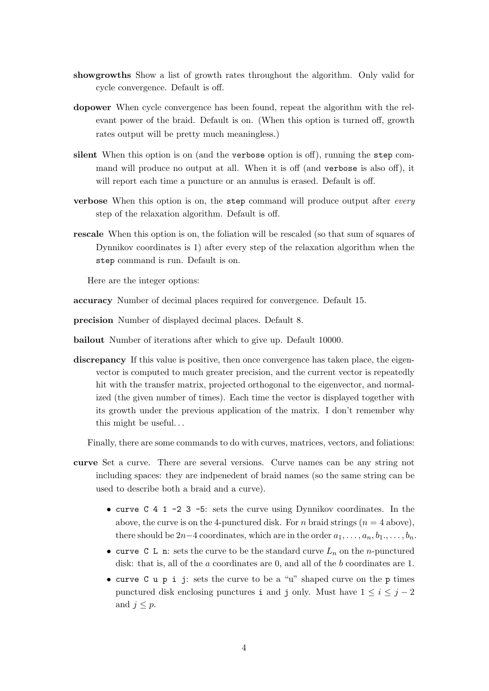- showgrowths Show a list of growth rates throughout the algorithm. Only valid for cycle convergence. Default is off.
- dopower When cycle convergence has been found, repeat the algorithm with the relevant power of the braid. Default is on. (When this option is turned off, growth rates output will be pretty much meaningless.)
- silent When this option is on (and the verbose option is off), running the step command will produce no output at all. When it is off (and verbose is also off), it will report each time a puncture or an annulus is erased. Default is off.
- verbose When this option is on, the step command will produce output after every step of the relaxation algorithm. Default is off.
- rescale When this option is on, the foliation will be rescaled (so that sum of squares of Dynnikov coordinates is 1) after every step of the relaxation algorithm when the step command is run. Default is on.

Here are the integer options:

accuracy Number of decimal places required for convergence. Default 15.

precision Number of displayed decimal places. Default 8.

bailout Number of iterations after which to give up. Default 10000.

discrepancy If this value is positive, then once convergence has taken place, the eigenvector is computed to much greater precision, and the current vector is repeatedly hit with the transfer matrix, projected orthogonal to the eigenvector, and normalized (the given number of times). Each time the vector is displayed together with its growth under the previous application of the matrix. I don't remember why this might be useful. . .

Finally, there are some commands to do with curves, matrices, vectors, and foliations:

- curve Set a curve. There are several versions. Curve names can be any string not including spaces: they are indpenedent of braid names (so the same string can be used to describe both a braid and a curve).
	- curve C 4 1 -2 3 -5: sets the curve using Dynnikov coordinates. In the above, the curve is on the 4-punctured disk. For n braid strings  $(n = 4$  above), there should be 2n–4 coordinates, which are in the order  $a_1, \ldots, a_n, b_1, \ldots, b_n$ .
	- curve C L n: sets the curve to be the standard curve  $L_n$  on the *n*-punctured disk: that is, all of the a coordinates are 0, and all of the b coordinates are 1.
	- curve  $C$  u p i j: sets the curve to be a "u" shaped curve on the p times punctured disk enclosing punctures i and j only. Must have  $1 \leq i \leq j-2$ and  $j \leq p$ .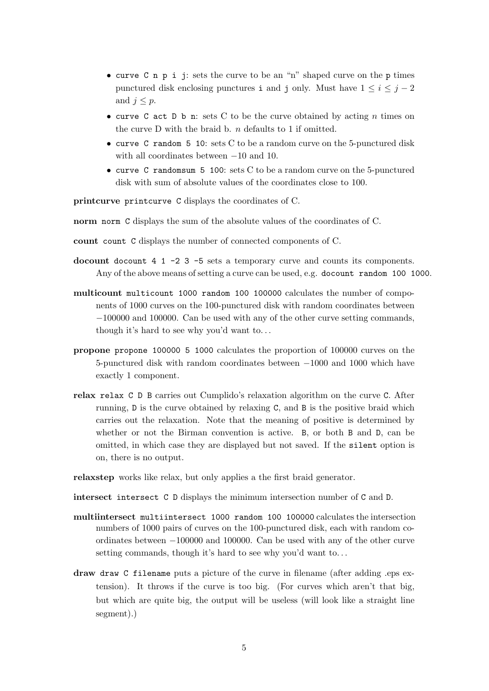- curve C n p i j: sets the curve to be an "n" shaped curve on the p times punctured disk enclosing punctures i and j only. Must have  $1 \leq i \leq j-2$ and  $j \leq p$ .
- curve C act D b n: sets C to be the curve obtained by acting n times on the curve D with the braid b.  $n$  defaults to 1 if omitted.
- curve C random 5 10: sets C to be a random curve on the 5-punctured disk with all coordinates between −10 and 10.
- curve C randomsum 5 100: sets C to be a random curve on the 5-punctured disk with sum of absolute values of the coordinates close to 100.

printcurve printcurve C displays the coordinates of C.

norm norm C displays the sum of the absolute values of the coordinates of C.

- count count C displays the number of connected components of C.
- docount docount 4 1 -2 3 -5 sets a temporary curve and counts its components. Any of the above means of setting a curve can be used, e.g. docount random 100 1000.
- multicount multicount 1000 random 100 100000 calculates the number of components of 1000 curves on the 100-punctured disk with random coordinates between −100000 and 100000. Can be used with any of the other curve setting commands, though it's hard to see why you'd want to. . .
- propone propone 100000 5 1000 calculates the proportion of 100000 curves on the 5-punctured disk with random coordinates between −1000 and 1000 which have exactly 1 component.
- relax relax C D B carries out Cumplido's relaxation algorithm on the curve C. After running, D is the curve obtained by relaxing C, and B is the positive braid which carries out the relaxation. Note that the meaning of positive is determined by whether or not the Birman convention is active. B, or both B and D, can be omitted, in which case they are displayed but not saved. If the silent option is on, there is no output.

relaxstep works like relax, but only applies a the first braid generator.

- intersect intersect C D displays the minimum intersection number of C and D.
- multiintersect multiintersect 1000 random 100 100000 calculates the intersection numbers of 1000 pairs of curves on the 100-punctured disk, each with random coordinates between −100000 and 100000. Can be used with any of the other curve setting commands, though it's hard to see why you'd want to. . .
- draw draw C filename puts a picture of the curve in filename (after adding .eps extension). It throws if the curve is too big. (For curves which aren't that big, but which are quite big, the output will be useless (will look like a straight line segment).)